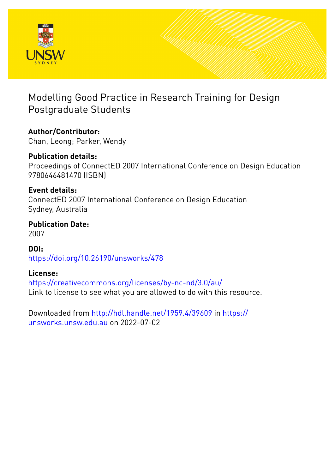

## Modelling Good Practice in Research Training for Design Postgraduate Students

# **Author/Contributor:**

Chan, Leong; Parker, Wendy

### **Publication details:** Proceedings of ConnectED 2007 International Conference on Design Education 9780646481470 (ISBN)

### **Event details:**

ConnectED 2007 International Conference on Design Education Sydney, Australia

### **Publication Date:** 2007

**DOI:** [https://doi.org/10.26190/unsworks/478](http://dx.doi.org/https://doi.org/10.26190/unsworks/478)

### **License:**

<https://creativecommons.org/licenses/by-nc-nd/3.0/au/> Link to license to see what you are allowed to do with this resource.

Downloaded from <http://hdl.handle.net/1959.4/39609> in [https://](https://unsworks.unsw.edu.au) [unsworks.unsw.edu.au](https://unsworks.unsw.edu.au) on 2022-07-02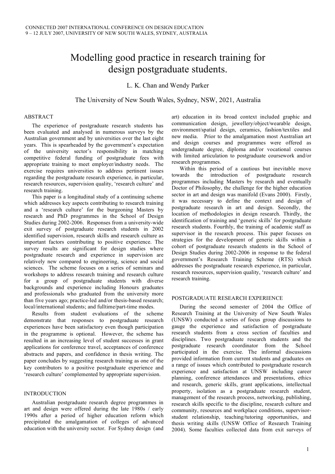## Modelling good practice in research training for design postgraduate students.

L. K. Chan and Wendy Parker

The University of New South Wales, Sydney, NSW, 2021, Australia

#### ABSTRACT

The experience of postgraduate research students has been evaluated and analysed in numerous surveys by the Australian government and by universities over the last eight years. This is spearheaded by the government's expectation of the university sector's responsibility in matching competitive federal funding of postgraduate fees with appropriate training to meet employer/industry needs. The exercise requires universities to address pertinent issues regarding the postgraduate research experience, in particular, research resources, supervision quality, 'research culture' and research training.

This paper is a longitudinal study of a continuing scheme which addresses key aspects contributing to research training and a 'research culture' for the burgeoning Masters by research and PhD programmes in the School of Design Studies during 2002-2006. Responses from a university-wide exit survey of postgraduate research students in 2002 identified supervision, research skills and research culture as important factors contributing to positive experience. The survey results are significant for design studies where postgraduate research and experience in supervision are relatively new compared to engineering, science and social sciences. The scheme focuses on a series of seminars and workshops to address research training and research culture for a group of postgraduate students with diverse backgrounds and experience including Honours graduates and professionals who graduated from the university more than five years ago; practice-led and/or thesis-based research; local/international students; and fulltime/part-time modes.

Results from student evaluations of the scheme demonstrate that responses to postgraduate research experiences have been satisfactory even though participation in the programme is optional. However, the scheme has resulted in an increasing level of student successes in grant applications for conference travel, acceptances of conference abstracts and papers, and confidence in thesis writing. The paper concludes by suggesting research training as one of the key contributors to a positive postgraduate experience and 'research culture' complemented by appropriate supervision.

#### INTRODUCTION

Australian postgraduate research degree programmes in art and design were offered during the late 1980s / early 1990s after a period of higher education reform which precipitated the amalgamation of colleges of advanced education with the university sector. For Sydney design (and art) education in its broad context included graphic and communication design, jewellery/object/wearable design, environment/spatial design, ceramics, fashion/textiles and new media. Prior to the amalgamation most Australian art and design courses and programmes were offered as undergraduate degree, diploma and/or vocational courses with limited articulation to postgraduate coursework and/or research programmes.

Within this period of a cautious but inevitable move towards the introduction of postgraduate research programmes including Masters by research and eventually Doctor of Philosophy, the challenge for the higher education sector in art and design was manifold (Evans 2000). Firstly, it was necessary to define the context and design of postgraduate research in art and design. Secondly, the location of methodologies in design research. Thirdly, the identification of training and 'generic skills' for postgraduate research students. Fourthly, the training of academic staff as supervisor in the research process. This paper focuses on strategies for the development of generic skills within a cohort of postgraduate research students in the School of Design Studies during 2002-2006 in response to the federal government's Research Training Scheme (RTS) which addresses the postgraduate research experience, in particular, research resources, supervision quality, 'research culture' and research training.

#### POSTGRADUATE RESEARCH EXPERIENCE

During the second semester of 2004 the Office of Research Training at the University of New South Wales (UNSW) conducted a series of focus group discussions to gauge the experience and satisfaction of postgraduate research students from a cross section of faculties and disciplines. Two postgraduate research students and the postgraduate research coordinator from the School participated in the exercise. The informal discussions provided information from current students and graduates on a range of issues which contributed to postgraduate research experience and satisfaction at UNSW including career planning, conference attendances and presentations, ethics and research, generic skills, grant applications, intellectual property, isolation as a postgraduate research student, management of the research process, networking, publishing, research skills specific to the discipline, research culture and community, resources and workplace conditions, supervisorstudent relationship, teaching/tutoring opportunities, and thesis writing skills (UNSW Office of Research Training 2004). Some faculties collected data from exit surveys of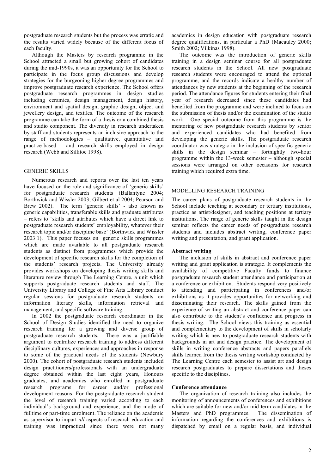postgraduate research students but the process was erratic and the results varied widely because of the different focus of each faculty.

Although the Masters by research programme in the School attracted a small but growing cohort of candidates during the mid-1990s, it was an opportunity for the School to participate in the focus group discussions and develop strategies for the burgeoning higher degree programmes and improve postgraduate research experience. The School offers postgraduate research programmes in design studies including ceramics, design management, design history, environment and spatial design, graphic design, object and jewellery design, and textiles. The outcome of the research programme can take the form of a thesis or a combined thesis and studio component. The diversity in research undertaken by staff and students represents an inclusive approach to the range of methodologies – qualitative, quantitative and practice-based – and research skills employed in design research (Webb and Sillitoe 1998).

#### GENERIC SKILLS

Numerous research and reports over the last ten years have focused on the role and significance of 'generic skills' for postgraduate research students (Ballantyne 2004; Borthwick and Wissler 2003; Gilbert et al 2004; Pearson and Brew 2002). The term 'generic skills' - also known as generic capabilities, transferable skills and graduate attributes – refers to 'skills and attributes which have a direct link to postgraduate research students' employability, whatever their research topic and/or discipline base' (Borthwick and Wissler 2003:1). This paper focuses on generic skills programmes which are made available to all postgraduate research students as distinct from programmes which provide the development of specific research skills for the completion of the students' research projects. The University already provides workshops on developing thesis writing skills and literature review through The Learning Centre, a unit which supports postgraduate research students and staff. The University Library and College of Fine Arts Library conduct regular sessions for postgraduate research students on information literacy skills, information retrieval and management, and specific software training.

In 2002 the postgraduate research coordinator in the School of Design Studies identified the need to organize research training for a growing and diverse group of postgraduate research students. There was a justifiable argument to centralize research training to address different disciplinary cultures, experiences and approaches in response to some of the practical needs of the students (Newbury 2000). The cohort of postgraduate research students included design practitioners/professionals with an undergraduate degree obtained within the last eight years, Honours graduates, and academics who enrolled in postgraduate research programs for career and/or professional development reasons. For the postgraduate research student the level of research training varied according to each individual's background and experience, and the mode of fulltime or part-time enrolment. The reliance on the academic as supervisor to impart *all* aspects of research education and training was impractical since there were not many

academics in design education with postgraduate research degree qualifications, in particular a PhD (Macauley 2000; Smith 2002; Vilkinas 1998).

The outcome was the introduction of generic skills training in a design seminar course for all postgraduate research students in the School. All new postgraduate research students were encouraged to attend the optional programme, and the records indicate a healthy number of attendances by new students at the beginning of the research period. The attendance figures for students entering their final year of research decreased since these candidates had benefited from the programme and were inclined to focus on the submission of thesis and/or the examination of the studio work. One special outcome from this programme is the mentoring of new postgraduate research students by senior and experienced candidates who had benefited from developing the generic skills. The postgraduate research coordinator was strategic in the inclusion of specific generic skills in the design seminar – fortnightly two-hour programme within the 13-week semester – although special sessions were arranged on other occasions for research training which required extra time.

#### MODELLING RESEARCH TRAINING

The career plans of postgraduate research students in the School include teaching at secondary or tertiary institutions, practice as artist/designer, and teaching positions at tertiary institutions. The range of generic skills taught in the design seminar reflects the career needs of postgraduate research students and includes abstract writing, conference paper writing and presentation, and grant application.

#### **Abstract writing**

The inclusion of skills in abstract and conference paper writing and grant application is strategic. It complements the availability of competitive Faculty funds to finance postgraduate research student attendance and participation at a conference or exhibition. Students respond very positively to attending and participating in conferences and/or exhibitions as it provides opportunities for networking and disseminating their research. The skills gained from the experience of writing an abstract and conference paper can also contribute to the student's confidence and progress in thesis writing. The School views this training as essential and complementary to the development of skills in scholarly writing which is new to postgraduate research students with backgrounds in art and design practice. The development of skills in writing conference abstracts and papers parallels skills learned from the thesis writing workshop conducted by The Learning Centre each semester to assist art and design research postgraduates to prepare dissertations and theses specific to the disciplines.

#### **Conference attendance**

The organization of research training also includes the monitoring of announcements of conferences and exhibitions which are suitable for new and/or mid-term candidates in the Masters and PhD programmes. The dissemination of information regarding the conferences and exhibitions is dispatched by email on a regular basis, and individual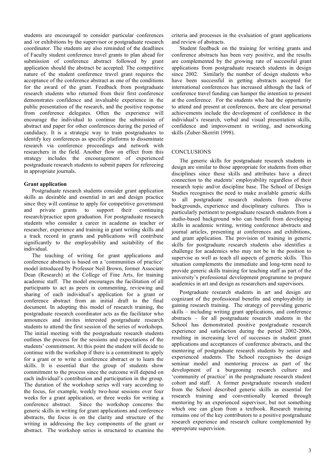students are encouraged to consider particular conferences and /or exhibitions by the supervisor or postgraduate research coordinator. The students are also reminded of the deadlines of Faculty student conference travel grants to plan ahead for submission of conference abstract followed by grant application should the abstract be accepted. The competitive nature of the student conference travel grant requires the acceptance of the conference abstract as one of the conditions for the award of the grant. Feedback from postgraduate research students who returned from their first conference demonstrates confidence and invaluable experience in the public presentation of the research, and the positive response from conference delegates. Often the experience will encourage the individual to continue the submission of abstract and paper for other conferences during the period of candidacy. It is a strategic way to train postgraduates to identify key conferences as specific platforms to disseminate research via conference proceedings and network with researchers in the field. Another flow on effect from this strategy includes the encouragement of experienced postgraduate research students to submit papers for refereeing in appropriate journals.

#### **Grant application**

Postgraduate research students consider grant application skills as desirable and essential in art and design practice since they will continue to apply for competitive government and private grants to support their continuing research/practice upon graduation. For postgraduate research students who consider a career in academe as teacher or researcher, experience and training in grant writing skills and a track record in grants and publications will contribute significantly to the employability and suitability of the individual.

The teaching of writing for grant applications and conference abstracts is based on a 'communities of practice' model introduced by Professor Neil Brown, former Associate Dean (Research) at the College of Fine Arts, for training academic staff. The model encourages the facilitation of all participants to act as peers in commenting, reviewing and sharing of each individual's application for a grant or conference abstract from an initial draft to the final document. In adopting this model of research training, the postgraduate research coordinator acts as the facilitator who announces and invites interested postgraduate research students to attend the first session of the series of workshops. The initial meeting with the postgraduate research students outlines the process for the sessions and expectations of the students' commitment. At this point the student will decide to continue with the workshop if there is a commitment to apply for a grant or to write a conference abstract or to learn the skills. It is essential that the group of students show commitment to the process since the outcome will depend on each individual's contribution and participation in the group. The duration of the workshop series will vary according to the focus, for example, weekly two-hour sessions over four weeks for a grant application, or three weeks for writing a conference abstract. Since the workshop concerns the generic skills in writing for grant applications and conference abstracts, the focus is on the clarity and structure of the writing in addressing the key components of the grant or abstract. The workshop series is structured to examine the

criteria and processes in the evaluation of grant applications and review of abstracts.

Student feedback on the training for writing grants and conference abstracts has been very positive, and the results are complemented by the growing rate of successful grant applications from postgraduate research students in design since 2002. Similarly the number of design students who have been successful in getting abstracts accepted for international conferences has increased although the lack of conference travel funding can hamper the intention to present at the conference. For the students who had the opportunity to attend and present at conferences, there are clear personal achievements include the development of confidence in the individual's research, verbal and visual presentation skills, confidence and improvement in writing, and networking skills (Zuber-Skerritt 1998).

#### **CONCLUSIONS**

The generic skills for postgraduate research students in design are similar to those appropriate for students from other disciplines since these skills and attributes have a direct connection to the students' employability regardless of their research topic and/or discipline base. The School of Design Studies recognises the need to make available generic skills to all postgraduate research students from diverse backgrounds, experience and disciplinary cultures. This is particularly pertinent to postgraduate research students from a studio-based background who can benefit from developing skills in academic writing, writing conference abstracts and journal articles, presenting at conferences and exhibitions, and grant application. The provision of training in generic skills for postgraduate research students also identifies a challenge for academics who may not be in the position to supervise as well as teach all aspects of generic skills. This situation complements the immediate and long-term need to provide generic skills training for teaching staff as part of the university's professional development programme to prepare academics in art and design as researchers and supervisors.

Postgraduate research students in art and design are cognizant of the professional benefits and employability in gaining research training. The strategy of providing generic skills – including writing grant applications, and conference abstracts – for all postgraduate research students in the School has demonstrated positive postgraduate research experience and satisfaction during the period 2002-2006, resulting in increasing level of successes in student grant applications and acceptances of conference abstracts, and the mentoring of postgraduate research students by senior and experienced students. The School recognises the design seminar model and mentoring process as part of the development of a burgeoning research culture and 'community of practice' in the postgraduate research student cohort and staff. A former postgraduate research student from the School described generic skills as essential for research training and conventionally learned through mentoring by an experienced supervisor, but not something which one can glean from a textbook. Research training remains one of the key contributors to a positive postgraduate research experience and research culture complemented by appropriate supervision.